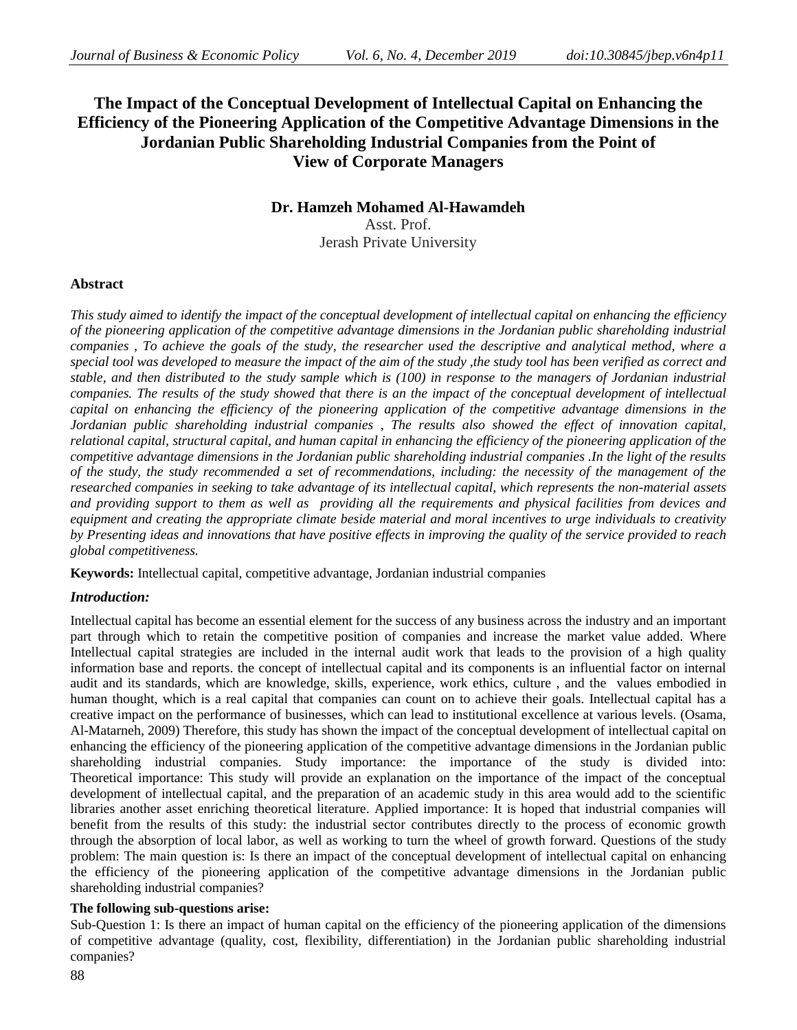# **The Impact of the Conceptual Development of Intellectual Capital on Enhancing the Efficiency of the Pioneering Application of the Competitive Advantage Dimensions in the Jordanian Public Shareholding Industrial Companies from the Point of View of Corporate Managers**

# **Dr. Hamzeh Mohamed Al-Hawamdeh**

Asst. Prof. Jerash Private University

## **Abstract**

*This study aimed to identify the impact of the conceptual development of intellectual capital on enhancing the efficiency of the pioneering application of the competitive advantage dimensions in the Jordanian public shareholding industrial companies , To achieve the goals of the study, the researcher used the descriptive and analytical method, where a special tool was developed to measure the impact of the aim of the study ,the study tool has been verified as correct and stable, and then distributed to the study sample which is (100) in response to the managers of Jordanian industrial companies. The results of the study showed that there is an the impact of the conceptual development of intellectual capital on enhancing the efficiency of the pioneering application of the competitive advantage dimensions in the Jordanian public shareholding industrial companies , The results also showed the effect of innovation capital, relational capital, structural capital, and human capital in enhancing the efficiency of the pioneering application of the competitive advantage dimensions in the Jordanian public shareholding industrial companies .In the light of the results of the study, the study recommended a set of recommendations, including: the necessity of the management of the researched companies in seeking to take advantage of its intellectual capital, which represents the non-material assets and providing support to them as well as providing all the requirements and physical facilities from devices and equipment and creating the appropriate climate beside material and moral incentives to urge individuals to creativity by Presenting ideas and innovations that have positive effects in improving the quality of the service provided to reach global competitiveness.*

**Keywords:** Intellectual capital, competitive advantage, Jordanian industrial companies

## *Introduction:*

Intellectual capital has become an essential element for the success of any business across the industry and an important part through which to retain the competitive position of companies and increase the market value added. Where Intellectual capital strategies are included in the internal audit work that leads to the provision of a high quality information base and reports. the concept of intellectual capital and its components is an influential factor on internal audit and its standards, which are knowledge, skills, experience, work ethics, culture , and the values embodied in human thought, which is a real capital that companies can count on to achieve their goals. Intellectual capital has a creative impact on the performance of businesses, which can lead to institutional excellence at various levels. (Osama, Al-Matarneh, 2009) Therefore, this study has shown the impact of the conceptual development of intellectual capital on enhancing the efficiency of the pioneering application of the competitive advantage dimensions in the Jordanian public shareholding industrial companies. Study importance: the importance of the study is divided into: Theoretical importance: This study will provide an explanation on the importance of the impact of the conceptual development of intellectual capital, and the preparation of an academic study in this area would add to the scientific libraries another asset enriching theoretical literature. Applied importance: It is hoped that industrial companies will benefit from the results of this study: the industrial sector contributes directly to the process of economic growth through the absorption of local labor, as well as working to turn the wheel of growth forward. Questions of the study problem: The main question is: Is there an impact of the conceptual development of intellectual capital on enhancing the efficiency of the pioneering application of the competitive advantage dimensions in the Jordanian public shareholding industrial companies?

## **The following sub-questions arise:**

Sub-Question 1: Is there an impact of human capital on the efficiency of the pioneering application of the dimensions of competitive advantage (quality, cost, flexibility, differentiation) in the Jordanian public shareholding industrial companies?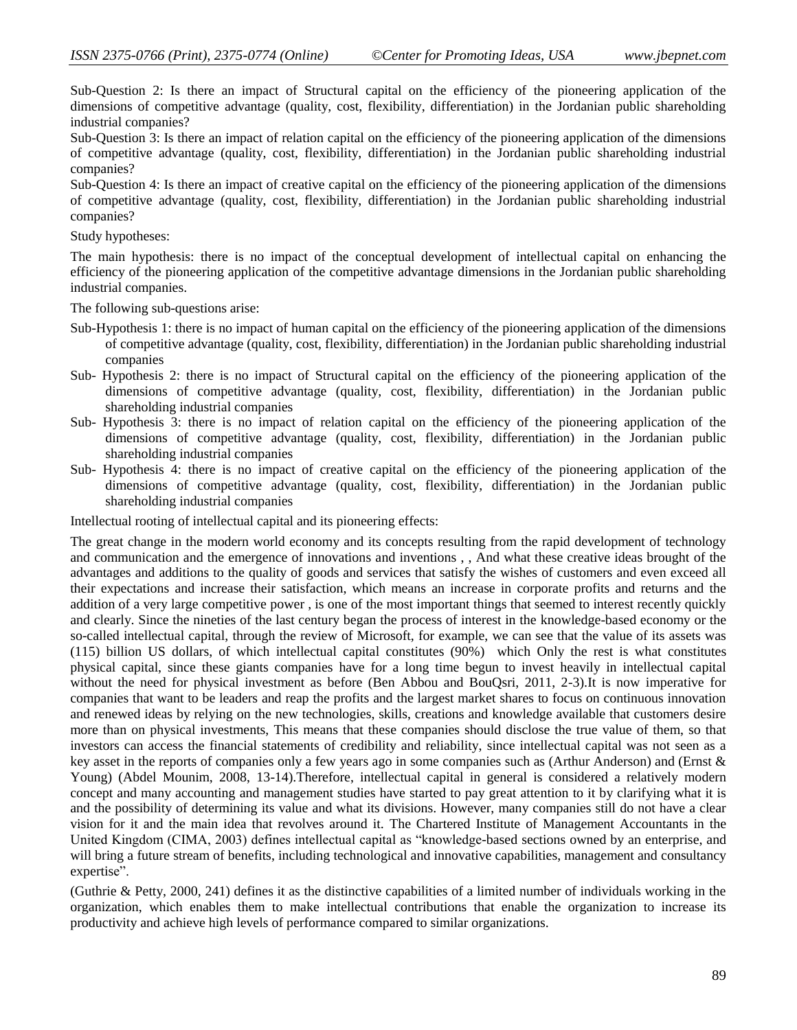Sub-Question 2: Is there an impact of Structural capital on the efficiency of the pioneering application of the dimensions of competitive advantage (quality, cost, flexibility, differentiation) in the Jordanian public shareholding industrial companies?

Sub-Question 3: Is there an impact of relation capital on the efficiency of the pioneering application of the dimensions of competitive advantage (quality, cost, flexibility, differentiation) in the Jordanian public shareholding industrial companies?

Sub-Question 4: Is there an impact of creative capital on the efficiency of the pioneering application of the dimensions of competitive advantage (quality, cost, flexibility, differentiation) in the Jordanian public shareholding industrial companies?

Study hypotheses:

The main hypothesis: there is no impact of the conceptual development of intellectual capital on enhancing the efficiency of the pioneering application of the competitive advantage dimensions in the Jordanian public shareholding industrial companies.

The following sub-questions arise:

- Sub-Hypothesis 1: there is no impact of human capital on the efficiency of the pioneering application of the dimensions of competitive advantage (quality, cost, flexibility, differentiation) in the Jordanian public shareholding industrial companies
- Sub- Hypothesis 2: there is no impact of Structural capital on the efficiency of the pioneering application of the dimensions of competitive advantage (quality, cost, flexibility, differentiation) in the Jordanian public shareholding industrial companies
- Sub- Hypothesis 3: there is no impact of relation capital on the efficiency of the pioneering application of the dimensions of competitive advantage (quality, cost, flexibility, differentiation) in the Jordanian public shareholding industrial companies
- Sub- Hypothesis 4: there is no impact of creative capital on the efficiency of the pioneering application of the dimensions of competitive advantage (quality, cost, flexibility, differentiation) in the Jordanian public shareholding industrial companies

Intellectual rooting of intellectual capital and its pioneering effects:

The great change in the modern world economy and its concepts resulting from the rapid development of technology and communication and the emergence of innovations and inventions , , And what these creative ideas brought of the advantages and additions to the quality of goods and services that satisfy the wishes of customers and even exceed all their expectations and increase their satisfaction, which means an increase in corporate profits and returns and the addition of a very large competitive power , is one of the most important things that seemed to interest recently quickly and clearly. Since the nineties of the last century began the process of interest in the knowledge-based economy or the so-called intellectual capital, through the review of Microsoft, for example, we can see that the value of its assets was (115) billion US dollars, of which intellectual capital constitutes (90%) which Only the rest is what constitutes physical capital, since these giants companies have for a long time begun to invest heavily in intellectual capital without the need for physical investment as before (Ben Abbou and BouQsri, 2011, 2-3).It is now imperative for companies that want to be leaders and reap the profits and the largest market shares to focus on continuous innovation and renewed ideas by relying on the new technologies, skills, creations and knowledge available that customers desire more than on physical investments, This means that these companies should disclose the true value of them, so that investors can access the financial statements of credibility and reliability, since intellectual capital was not seen as a key asset in the reports of companies only a few years ago in some companies such as (Arthur Anderson) and (Ernst & Young) (Abdel Mounim, 2008, 13-14).Therefore, intellectual capital in general is considered a relatively modern concept and many accounting and management studies have started to pay great attention to it by clarifying what it is and the possibility of determining its value and what its divisions. However, many companies still do not have a clear vision for it and the main idea that revolves around it. The Chartered Institute of Management Accountants in the United Kingdom (CIMA, 2003) defines intellectual capital as "knowledge-based sections owned by an enterprise, and will bring a future stream of benefits, including technological and innovative capabilities, management and consultancy expertise".

(Guthrie & Petty, 2000, 241) defines it as the distinctive capabilities of a limited number of individuals working in the organization, which enables them to make intellectual contributions that enable the organization to increase its productivity and achieve high levels of performance compared to similar organizations.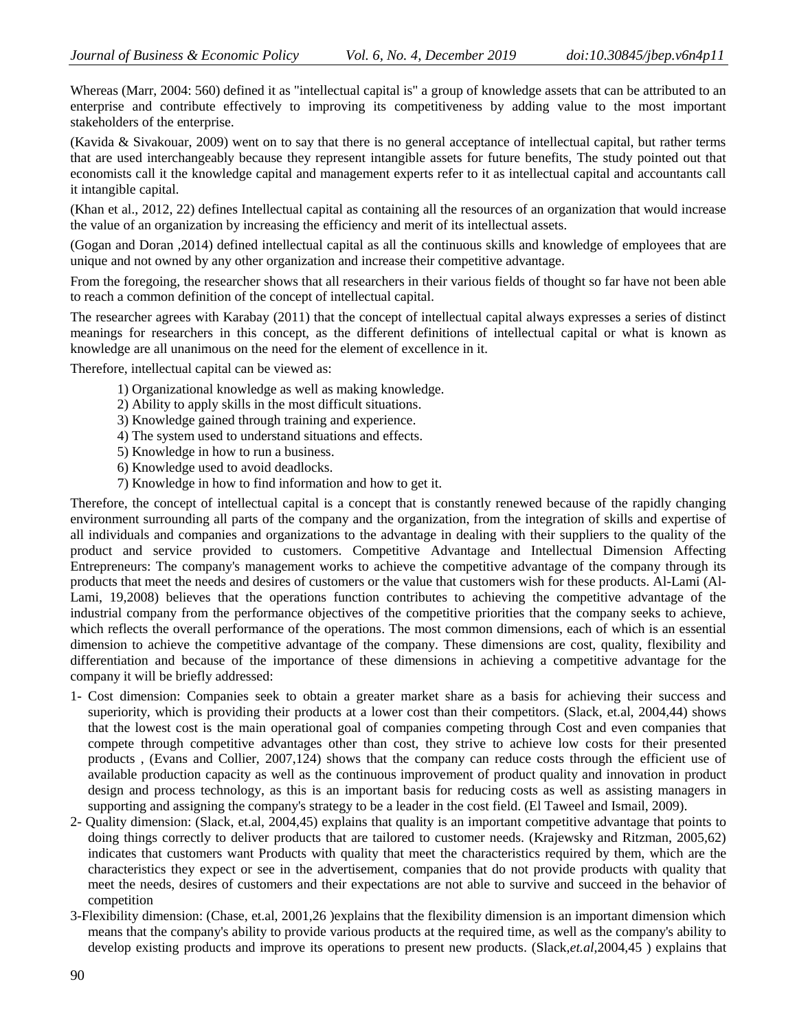Whereas (Marr, 2004: 560) defined it as "intellectual capital is" a group of knowledge assets that can be attributed to an enterprise and contribute effectively to improving its competitiveness by adding value to the most important stakeholders of the enterprise.

(Kavida & Sivakouar, 2009) went on to say that there is no general acceptance of intellectual capital, but rather terms that are used interchangeably because they represent intangible assets for future benefits, The study pointed out that economists call it the knowledge capital and management experts refer to it as intellectual capital and accountants call it intangible capital.

(Khan et al., 2012, 22) defines Intellectual capital as containing all the resources of an organization that would increase the value of an organization by increasing the efficiency and merit of its intellectual assets.

(Gogan and Doran ,2014) defined intellectual capital as all the continuous skills and knowledge of employees that are unique and not owned by any other organization and increase their competitive advantage.

From the foregoing, the researcher shows that all researchers in their various fields of thought so far have not been able to reach a common definition of the concept of intellectual capital.

The researcher agrees with Karabay (2011) that the concept of intellectual capital always expresses a series of distinct meanings for researchers in this concept, as the different definitions of intellectual capital or what is known as knowledge are all unanimous on the need for the element of excellence in it.

Therefore, intellectual capital can be viewed as:

- 1) Organizational knowledge as well as making knowledge.
- 2) Ability to apply skills in the most difficult situations.
- 3) Knowledge gained through training and experience.
- 4) The system used to understand situations and effects.
- 5) Knowledge in how to run a business.
- 6) Knowledge used to avoid deadlocks.
- 7) Knowledge in how to find information and how to get it.

Therefore, the concept of intellectual capital is a concept that is constantly renewed because of the rapidly changing environment surrounding all parts of the company and the organization, from the integration of skills and expertise of all individuals and companies and organizations to the advantage in dealing with their suppliers to the quality of the product and service provided to customers. Competitive Advantage and Intellectual Dimension Affecting Entrepreneurs: The company's management works to achieve the competitive advantage of the company through its products that meet the needs and desires of customers or the value that customers wish for these products. Al-Lami (Al-Lami, 19,2008) believes that the operations function contributes to achieving the competitive advantage of the industrial company from the performance objectives of the competitive priorities that the company seeks to achieve, which reflects the overall performance of the operations. The most common dimensions, each of which is an essential dimension to achieve the competitive advantage of the company. These dimensions are cost, quality, flexibility and differentiation and because of the importance of these dimensions in achieving a competitive advantage for the company it will be briefly addressed:

- 1- Cost dimension: Companies seek to obtain a greater market share as a basis for achieving their success and superiority, which is providing their products at a lower cost than their competitors. (Slack, et.al, 2004,44) shows that the lowest cost is the main operational goal of companies competing through Cost and even companies that compete through competitive advantages other than cost, they strive to achieve low costs for their presented products , (Evans and Collier, 2007,124) shows that the company can reduce costs through the efficient use of available production capacity as well as the continuous improvement of product quality and innovation in product design and process technology, as this is an important basis for reducing costs as well as assisting managers in supporting and assigning the company's strategy to be a leader in the cost field. (El Taweel and Ismail, 2009).
- 2- Quality dimension: (Slack, et.al, 2004,45) explains that quality is an important competitive advantage that points to doing things correctly to deliver products that are tailored to customer needs. (Krajewsky and Ritzman, 2005,62) indicates that customers want Products with quality that meet the characteristics required by them, which are the characteristics they expect or see in the advertisement, companies that do not provide products with quality that meet the needs, desires of customers and their expectations are not able to survive and succeed in the behavior of competition
- 3-Flexibility dimension: (Chase, et.al, 2001,26 )explains that the flexibility dimension is an important dimension which means that the company's ability to provide various products at the required time, as well as the company's ability to develop existing products and improve its operations to present new products. (Slack,*et.al*,2004,45 ) explains that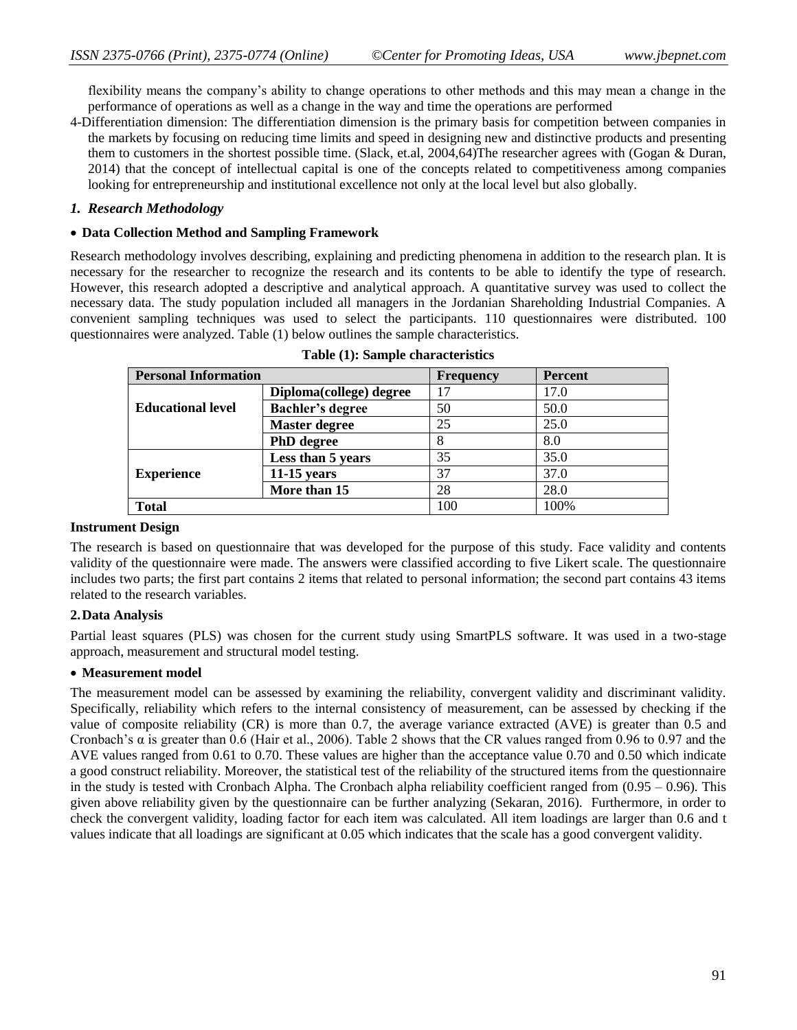flexibility means the company's ability to change operations to other methods and this may mean a change in the performance of operations as well as a change in the way and time the operations are performed

4-Differentiation dimension: The differentiation dimension is the primary basis for competition between companies in the markets by focusing on reducing time limits and speed in designing new and distinctive products and presenting them to customers in the shortest possible time. (Slack, et.al, 2004,64)The researcher agrees with (Gogan & Duran, 2014) that the concept of intellectual capital is one of the concepts related to competitiveness among companies looking for entrepreneurship and institutional excellence not only at the local level but also globally.

#### *1. Research Methodology*

#### **Data Collection Method and Sampling Framework**

Research methodology involves describing, explaining and predicting phenomena in addition to the research plan. It is necessary for the researcher to recognize the research and its contents to be able to identify the type of research. However, this research adopted a descriptive and analytical approach. A quantitative survey was used to collect the necessary data. The study population included all managers in the Jordanian Shareholding Industrial Companies. A convenient sampling techniques was used to select the participants. 110 questionnaires were distributed. 100 questionnaires were analyzed. Table (1) below outlines the sample characteristics.

| <b>Personal Information</b> |                         | <b>Frequency</b> | Percent |
|-----------------------------|-------------------------|------------------|---------|
|                             | Diploma(college) degree | 17               | 17.0    |
| <b>Educational level</b>    | <b>Bachler's degree</b> | 50               | 50.0    |
|                             | <b>Master degree</b>    | 25               | 25.0    |
|                             | <b>PhD</b> degree       |                  | 8.0     |
|                             | Less than 5 years       | 35               | 35.0    |
| <b>Experience</b>           | $11-15$ years           | 37               | 37.0    |
|                             | More than 15            | 28               | 28.0    |
| <b>Total</b>                |                         | 100              | 100%    |

|  |  | Table (1): Sample characteristics |
|--|--|-----------------------------------|
|--|--|-----------------------------------|

#### **Instrument Design**

The research is based on questionnaire that was developed for the purpose of this study. Face validity and contents validity of the questionnaire were made. The answers were classified according to five Likert scale. The questionnaire includes two parts; the first part contains 2 items that related to personal information; the second part contains 43 items related to the research variables.

## **2.Data Analysis**

Partial least squares (PLS) was chosen for the current study using SmartPLS software. It was used in a two-stage approach, measurement and structural model testing.

#### **Measurement model**

The measurement model can be assessed by examining the reliability, convergent validity and discriminant validity. Specifically, reliability which refers to the internal consistency of measurement, can be assessed by checking if the value of composite reliability (CR) is more than 0.7, the average variance extracted (AVE) is greater than 0.5 and Cronbach's  $\alpha$  is greater than 0.6 (Hair et al., 2006). Table 2 shows that the CR values ranged from 0.96 to 0.97 and the AVE values ranged from 0.61 to 0.70. These values are higher than the acceptance value 0.70 and 0.50 which indicate a good construct reliability. Moreover, the statistical test of the reliability of the structured items from the questionnaire in the study is tested with Cronbach Alpha. The Cronbach alpha reliability coefficient ranged from  $(0.95 - 0.96)$ . This given above reliability given by the questionnaire can be further analyzing (Sekaran, 2016). Furthermore, in order to check the convergent validity, loading factor for each item was calculated. All item loadings are larger than 0.6 and t values indicate that all loadings are significant at 0.05 which indicates that the scale has a good convergent validity.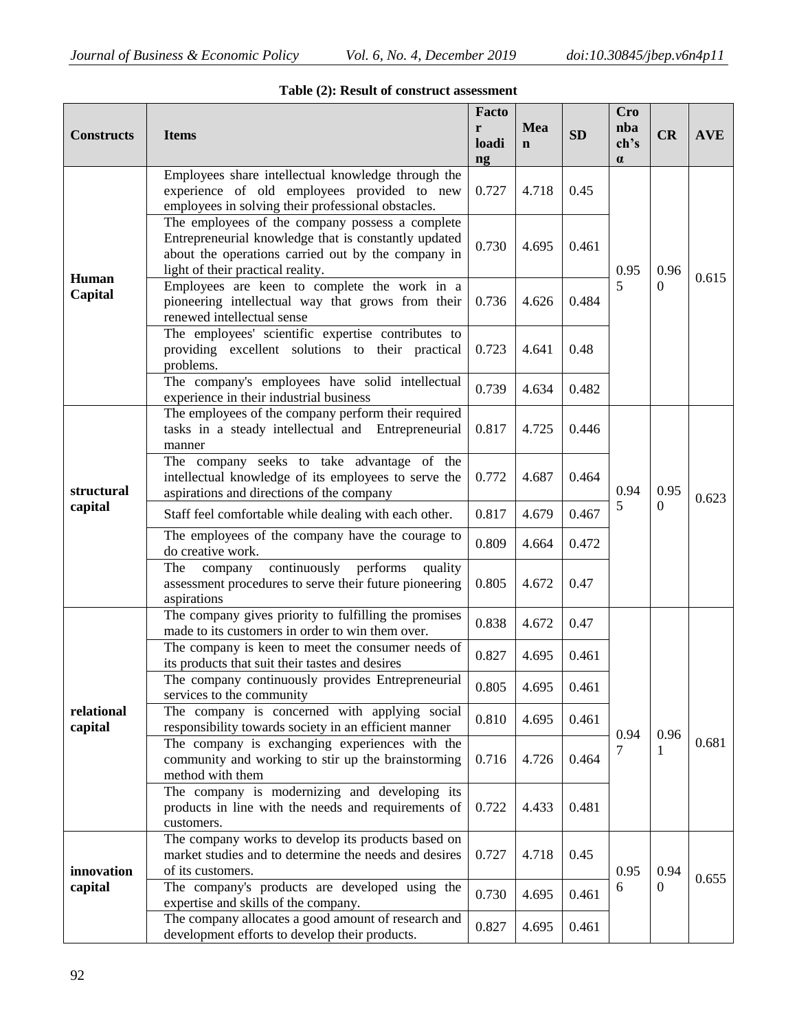| <b>Constructs</b>     | <b>Items</b>                                                                                                                                                                                       | Facto<br>r<br>loadi<br>$\mathbf{ng}$ | Mea<br>$\mathbf n$ | SD    | <b>Cro</b><br>nba<br>ch's<br>$\alpha$ | CR                   | <b>AVE</b> |
|-----------------------|----------------------------------------------------------------------------------------------------------------------------------------------------------------------------------------------------|--------------------------------------|--------------------|-------|---------------------------------------|----------------------|------------|
|                       | Employees share intellectual knowledge through the<br>experience of old employees provided to new<br>employees in solving their professional obstacles.                                            | 0.727                                | 4.718              | 0.45  | 0.95<br>5                             | 0.96<br>$\Omega$     | 0.615      |
|                       | The employees of the company possess a complete<br>Entrepreneurial knowledge that is constantly updated<br>about the operations carried out by the company in<br>light of their practical reality. | 0.730                                | 4.695              | 0.461 |                                       |                      |            |
| Human<br>Capital      | Employees are keen to complete the work in a<br>pioneering intellectual way that grows from their<br>renewed intellectual sense                                                                    | 0.736                                | 4.626              | 0.484 |                                       |                      |            |
|                       | The employees' scientific expertise contributes to<br>providing excellent solutions to their practical<br>problems.                                                                                | 0.723                                | 4.641              | 0.48  |                                       |                      |            |
|                       | The company's employees have solid intellectual<br>experience in their industrial business                                                                                                         | 0.739                                | 4.634              | 0.482 |                                       |                      |            |
| structural<br>capital | The employees of the company perform their required<br>tasks in a steady intellectual and Entrepreneurial<br>manner                                                                                | 0.817                                | 4.725              | 0.446 | 0.94<br>5                             | 0.95<br>$\mathbf{0}$ |            |
|                       | The company seeks to take advantage of the<br>intellectual knowledge of its employees to serve the<br>aspirations and directions of the company                                                    | 0.772                                | 4.687              | 0.464 |                                       |                      | 0.623      |
|                       | Staff feel comfortable while dealing with each other.                                                                                                                                              | 0.817                                | 4.679              | 0.467 |                                       |                      |            |
|                       | The employees of the company have the courage to<br>do creative work.                                                                                                                              | 0.809                                | 4.664              | 0.472 |                                       |                      |            |
|                       | continuously<br>performs<br>The<br>quality<br>company<br>assessment procedures to serve their future pioneering<br>aspirations                                                                     | 0.805                                | 4.672              | 0.47  |                                       |                      |            |
|                       | The company gives priority to fulfilling the promises<br>made to its customers in order to win them over.                                                                                          | 0.838                                | 4.672              | 0.47  |                                       |                      |            |
|                       | The company is keen to meet the consumer needs of<br>its products that suit their tastes and desires                                                                                               | 0.827                                | 4.695              | 0.461 |                                       |                      |            |
|                       | The company continuously provides Entrepreneurial<br>services to the community                                                                                                                     | 0.805                                | 4.695              | 0.461 |                                       |                      | 0.681      |
| relational<br>capital | The company is concerned with applying social<br>responsibility towards society in an efficient manner                                                                                             | 0.810                                | 4.695              | 0.461 | 0.94<br>7                             |                      |            |
|                       | The company is exchanging experiences with the<br>community and working to stir up the brainstorming<br>method with them                                                                           | 0.716                                | 4.726              | 0.464 |                                       | 0.96<br>1            |            |
|                       | The company is modernizing and developing its<br>products in line with the needs and requirements of<br>customers.                                                                                 | 0.722                                | 4.433              | 0.481 |                                       |                      |            |
| innovation            | The company works to develop its products based on<br>market studies and to determine the needs and desires<br>of its customers.                                                                   | 0.727                                | 4.718              | 0.45  | 0.95                                  | 0.94                 |            |
| capital               | The company's products are developed using the<br>expertise and skills of the company.                                                                                                             | 0.730                                | 4.695              | 0.461 | 6                                     | $\overline{0}$       | 0.655      |
|                       | The company allocates a good amount of research and<br>development efforts to develop their products.                                                                                              | 0.827                                | 4.695              | 0.461 |                                       |                      |            |

|  |  |  |  | Table (2): Result of construct assessment |
|--|--|--|--|-------------------------------------------|
|--|--|--|--|-------------------------------------------|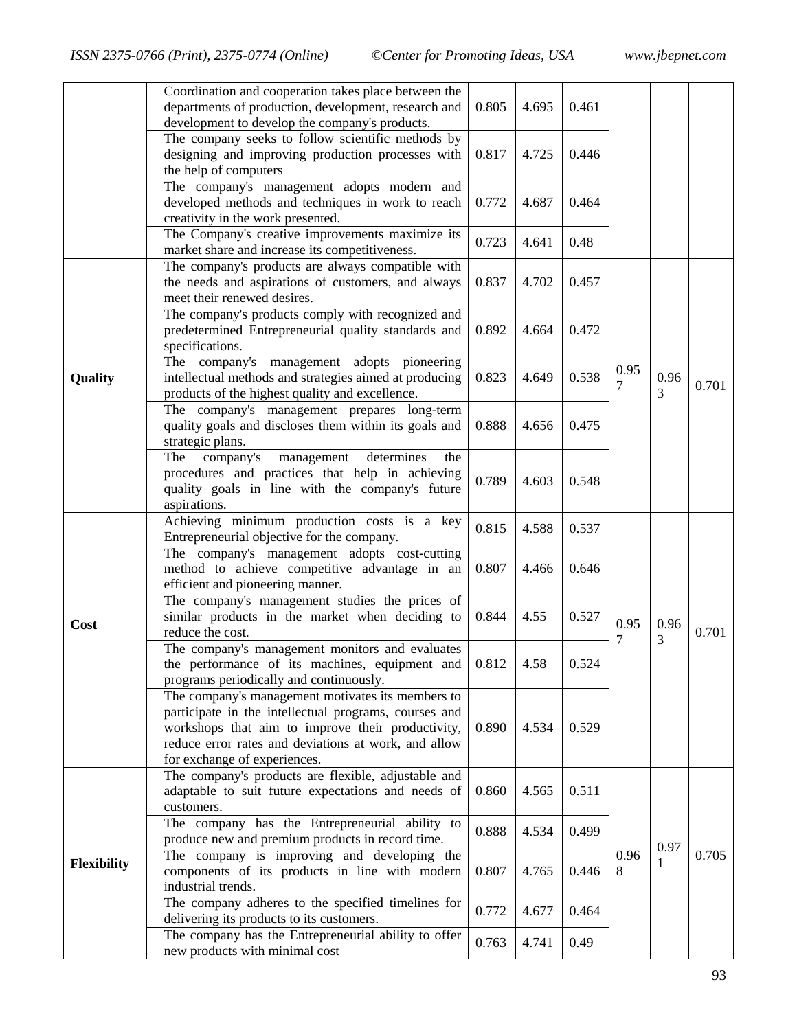|             | Coordination and cooperation takes place between the<br>departments of production, development, research and<br>development to develop the company's products.                                                                                          | 0.805 | 4.695 | 0.461 |           |           |       |
|-------------|---------------------------------------------------------------------------------------------------------------------------------------------------------------------------------------------------------------------------------------------------------|-------|-------|-------|-----------|-----------|-------|
|             | The company seeks to follow scientific methods by<br>designing and improving production processes with<br>the help of computers                                                                                                                         | 0.817 | 4.725 | 0.446 |           |           |       |
|             | The company's management adopts modern and<br>developed methods and techniques in work to reach<br>creativity in the work presented.                                                                                                                    | 0.772 | 4.687 | 0.464 |           |           |       |
|             | The Company's creative improvements maximize its<br>market share and increase its competitiveness.                                                                                                                                                      | 0.723 | 4.641 | 0.48  |           |           |       |
|             | The company's products are always compatible with<br>the needs and aspirations of customers, and always<br>meet their renewed desires.                                                                                                                  | 0.837 | 4.702 | 0.457 |           |           |       |
|             | The company's products comply with recognized and<br>predetermined Entrepreneurial quality standards and<br>specifications.                                                                                                                             | 0.892 | 4.664 | 0.472 |           |           |       |
| Quality     | The company's management adopts pioneering<br>intellectual methods and strategies aimed at producing<br>products of the highest quality and excellence.                                                                                                 | 0.823 | 4.649 | 0.538 | 0.95<br>7 | 0.96<br>3 | 0.701 |
|             | The company's management prepares long-term<br>quality goals and discloses them within its goals and<br>strategic plans.                                                                                                                                | 0.888 | 4.656 | 0.475 |           |           |       |
|             | company's<br>determines<br>The<br>management<br>the<br>procedures and practices that help in achieving<br>quality goals in line with the company's future<br>aspirations.                                                                               | 0.789 | 4.603 | 0.548 |           |           |       |
|             | Achieving minimum production costs is a key<br>Entrepreneurial objective for the company.                                                                                                                                                               | 0.815 | 4.588 | 0.537 |           |           |       |
|             | The company's management adopts cost-cutting<br>method to achieve competitive advantage in an<br>efficient and pioneering manner.                                                                                                                       | 0.807 | 4.466 | 0.646 | 0.95<br>7 | 0.96<br>3 | 0.701 |
| Cost        | The company's management studies the prices of<br>similar products in the market when deciding to<br>reduce the cost.                                                                                                                                   | 0.844 | 4.55  | 0.527 |           |           |       |
|             | The company's management monitors and evaluates<br>the performance of its machines, equipment and $\vert 0.812 \vert$<br>programs periodically and continuously.                                                                                        |       | 4.58  | 0.524 |           |           |       |
|             | The company's management motivates its members to<br>participate in the intellectual programs, courses and<br>workshops that aim to improve their productivity,<br>reduce error rates and deviations at work, and allow<br>for exchange of experiences. | 0.890 | 4.534 | 0.529 |           |           |       |
|             | The company's products are flexible, adjustable and<br>adaptable to suit future expectations and needs of<br>customers.                                                                                                                                 | 0.860 | 4.565 | 0.511 |           |           |       |
| Flexibility | The company has the Entrepreneurial ability to<br>produce new and premium products in record time.                                                                                                                                                      | 0.888 | 4.534 | 0.499 | 0.96<br>8 | 0.97      |       |
|             | The company is improving and developing the<br>components of its products in line with modern<br>industrial trends.                                                                                                                                     | 0.807 | 4.765 | 0.446 |           | 1         | 0.705 |
|             | The company adheres to the specified timelines for<br>delivering its products to its customers.                                                                                                                                                         | 0.772 | 4.677 | 0.464 |           |           |       |
|             | The company has the Entrepreneurial ability to offer<br>new products with minimal cost                                                                                                                                                                  | 0.763 | 4.741 | 0.49  |           |           |       |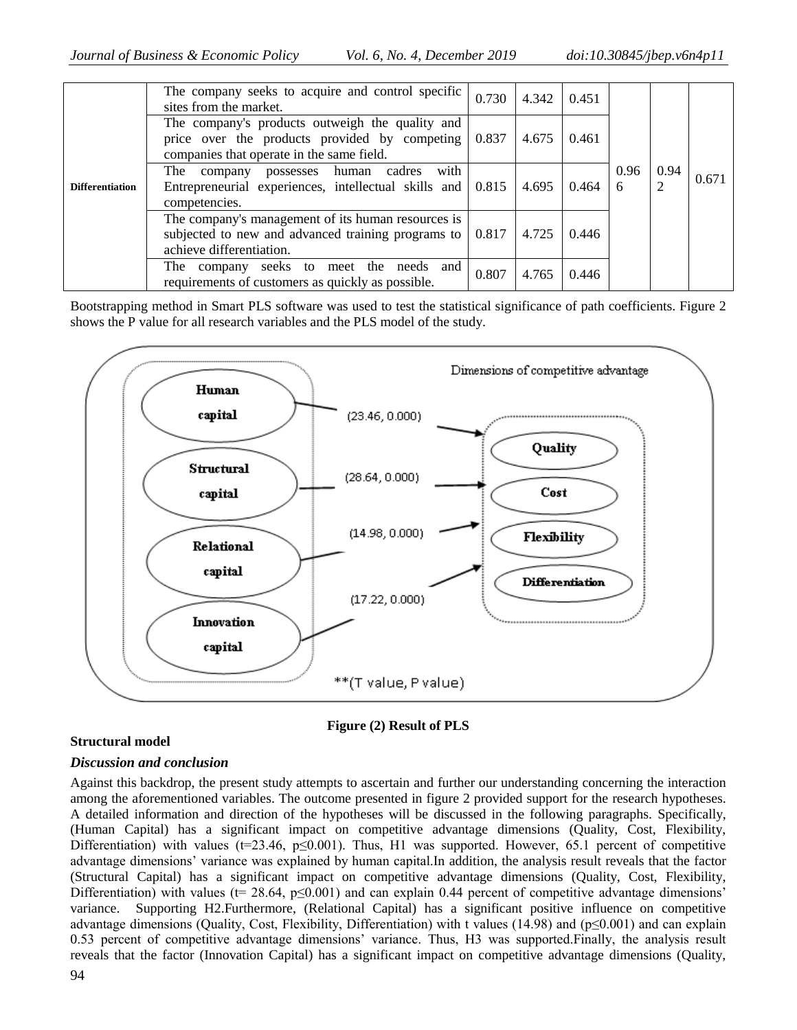|                        | The company seeks to acquire and control specific<br>sites from the market.                                                                   | 0.730 | 4.342 | 0.451 |           |           |       |
|------------------------|-----------------------------------------------------------------------------------------------------------------------------------------------|-------|-------|-------|-----------|-----------|-------|
| <b>Differentiation</b> | The company's products outweigh the quality and<br>price over the products provided by competing<br>companies that operate in the same field. | 0.837 | 4.675 | 0.461 | 0.96<br>6 | 0.94<br>2 | 0.671 |
|                        | with<br>The<br>company possesses human cadres<br>Entrepreneurial experiences, intellectual skills and   0.815<br>competencies.                |       | 4.695 | 0.464 |           |           |       |
|                        | The company's management of its human resources is<br>subjected to new and advanced training programs to<br>achieve differentiation.          | 0.817 | 4.725 | 0.446 |           |           |       |
|                        | The company seeks to meet the needs and<br>requirements of customers as quickly as possible.                                                  | 0.807 | 4.765 | 0.446 |           |           |       |

Bootstrapping method in Smart PLS software was used to test the statistical significance of path coefficients. Figure 2 shows the P value for all research variables and the PLS model of the study.





## **Structural model**

## *Discussion and conclusion*

Against this backdrop, the present study attempts to ascertain and further our understanding concerning the interaction among the aforementioned variables. The outcome presented in figure 2 provided support for the research hypotheses. A detailed information and direction of the hypotheses will be discussed in the following paragraphs. Specifically, (Human Capital) has a significant impact on competitive advantage dimensions (Quality, Cost, Flexibility, Differentiation) with values (t=23.46, p≤0.001). Thus, H1 was supported. However, 65.1 percent of competitive advantage dimensions' variance was explained by human capital.In addition, the analysis result reveals that the factor (Structural Capital) has a significant impact on competitive advantage dimensions (Quality, Cost, Flexibility, Differentiation) with values ( $t= 28.64$ ,  $p\leq 0.001$ ) and can explain 0.44 percent of competitive advantage dimensions' variance. Supporting H2.Furthermore, (Relational Capital) has a significant positive influence on competitive advantage dimensions (Quality, Cost, Flexibility, Differentiation) with t values (14.98) and ( $p≤0.001$ ) and can explain 0.53 percent of competitive advantage dimensions' variance. Thus, H3 was supported.Finally, the analysis result reveals that the factor (Innovation Capital) has a significant impact on competitive advantage dimensions (Quality,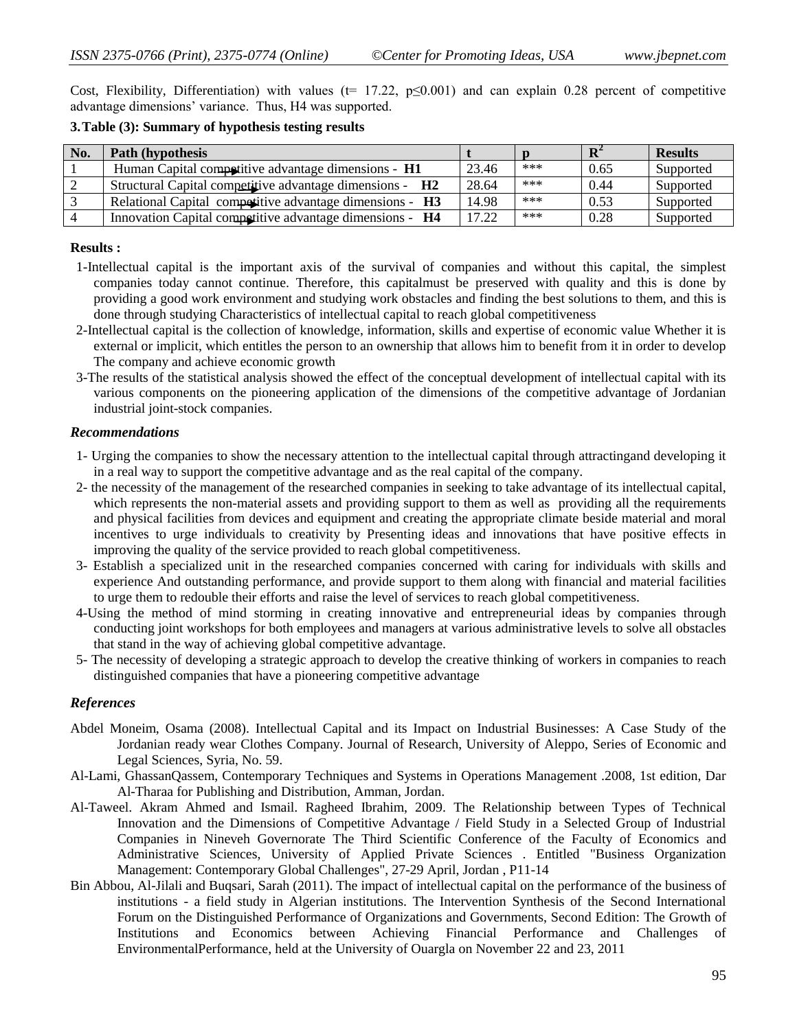Cost, Flexibility, Differentiation) with values ( $t= 17.22$ ,  $p\leq 0.001$ ) and can explain 0.28 percent of competitive advantage dimensions' variance. Thus, H4 was supported.

#### **3.Table (3): Summary of hypothesis testing results**

| No. | Path (hypothesis)                                        |       |       | ${\bf n}^2$ | <b>Results</b> |
|-----|----------------------------------------------------------|-------|-------|-------------|----------------|
|     | Human Capital competitive advantage dimensions - H1      | 23.46 | $***$ | 0.65        | Supported      |
|     | Structural Capital competitive advantage dimensions - H2 | 28.64 | $***$ | 0.44        | Supported      |
|     | Relational Capital competitive advantage dimensions - H3 | 14.98 | $***$ | 0.53        | Supported      |
|     | Innovation Capital competitive advantage dimensions - H4 | 17.22 | $***$ | 0.28        | Supported      |

#### **Results :**

- 1-Intellectual capital is the important axis of the survival of companies and without this capital, the simplest companies today cannot continue. Therefore, this capitalmust be preserved with quality and this is done by providing a good work environment and studying work obstacles and finding the best solutions to them, and this is done through studying Characteristics of intellectual capital to reach global competitiveness
- 2-Intellectual capital is the collection of knowledge, information, skills and expertise of economic value Whether it is external or implicit, which entitles the person to an ownership that allows him to benefit from it in order to develop The company and achieve economic growth
- 3-The results of the statistical analysis showed the effect of the conceptual development of intellectual capital with its various components on the pioneering application of the dimensions of the competitive advantage of Jordanian industrial joint-stock companies.

#### *Recommendations*

- 1- Urging the companies to show the necessary attention to the intellectual capital through attractingand developing it in a real way to support the competitive advantage and as the real capital of the company.
- 2- the necessity of the management of the researched companies in seeking to take advantage of its intellectual capital, which represents the non-material assets and providing support to them as well as providing all the requirements and physical facilities from devices and equipment and creating the appropriate climate beside material and moral incentives to urge individuals to creativity by Presenting ideas and innovations that have positive effects in improving the quality of the service provided to reach global competitiveness.
- 3- Establish a specialized unit in the researched companies concerned with caring for individuals with skills and experience And outstanding performance, and provide support to them along with financial and material facilities to urge them to redouble their efforts and raise the level of services to reach global competitiveness.
- 4-Using the method of mind storming in creating innovative and entrepreneurial ideas by companies through conducting joint workshops for both employees and managers at various administrative levels to solve all obstacles that stand in the way of achieving global competitive advantage.
- 5- The necessity of developing a strategic approach to develop the creative thinking of workers in companies to reach distinguished companies that have a pioneering competitive advantage

## *References*

- Abdel Moneim, Osama (2008). Intellectual Capital and its Impact on Industrial Businesses: A Case Study of the Jordanian ready wear Clothes Company. Journal of Research, University of Aleppo, Series of Economic and Legal Sciences, Syria, No. 59.
- Al-Lami, GhassanQassem, Contemporary Techniques and Systems in Operations Management .2008, 1st edition, Dar Al-Tharaa for Publishing and Distribution, Amman, Jordan.
- Al-Taweel. Akram Ahmed and Ismail. Ragheed Ibrahim, 2009. The Relationship between Types of Technical Innovation and the Dimensions of Competitive Advantage / Field Study in a Selected Group of Industrial Companies in Nineveh Governorate The Third Scientific Conference of the Faculty of Economics and Administrative Sciences, University of Applied Private Sciences . Entitled "Business Organization Management: Contemporary Global Challenges", 27-29 April, Jordan , P11-14
- Bin Abbou, Al-Jilali and Buqsari, Sarah (2011). The impact of intellectual capital on the performance of the business of institutions - a field study in Algerian institutions. The Intervention Synthesis of the Second International Forum on the Distinguished Performance of Organizations and Governments, Second Edition: The Growth of Institutions and Economics between Achieving Financial Performance and Challenges of EnvironmentalPerformance, held at the University of Ouargla on November 22 and 23, 2011